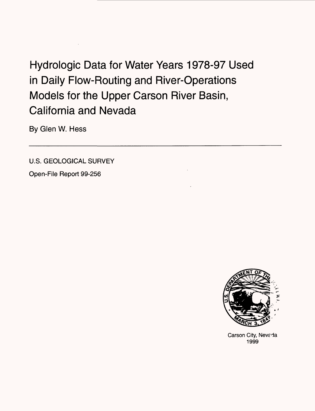# Hydrologic Data for Water Years 1978-97 Used in Daily Flow-Routing and River-Operations Models for the Upper Carson River Basin, California and Nevada

By Glen W. Hess

U.S. GEOLOGICAL SURVEY

Open-File Report 99-256



Carson City, Nevada 1999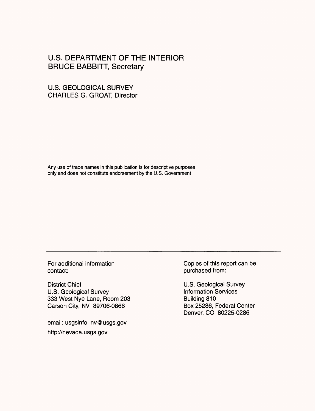## U.S. DEPARTMENT OF THE INTERIOR BRUCE BABBITT, Secretary

## U.S. GEOLOGICAL SURVEY CHARLES G. GROAT, Director

Any use of trade names in this publication is for descriptive purposes only and does not constitute endorsement by the U.S. Government

contact: purchased from:

District Chief **Chief Contract Chief Contract Chief** U.S. Geological Survey U.S. Geological Survey<br>
333 West Nye Lane, Room 203<br>
Building 810 333 West Nye Lane, Room 203 Carson City, NV 89706-0866 Box 25286, Federal Center

email: usgsinfo\_nv@usgs.gov http://nevada.usgs.gov

For additional information **Copies of this report can be** 

Denver, CO 80225-0286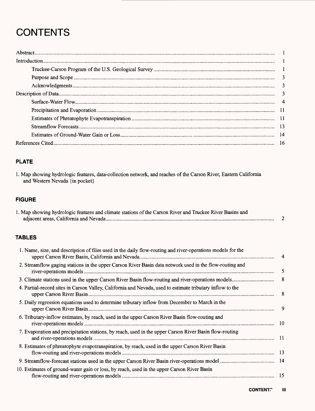## **CONTENTS**

## **PLATE**

1. Map showing hydrologic features, data-collection network, and reaches of the Carson River, Eastern California and Western Nevada {in pocket}

## **FIGURE**

| 1. Map showing hydrologic features and climate stations of the Carson River and Truckee River Basins and |  |
|----------------------------------------------------------------------------------------------------------|--|
|                                                                                                          |  |

## **TABLES**

| 1. Name, size, and description of files used in the daily flow-routing and river-operations models for the |                          |
|------------------------------------------------------------------------------------------------------------|--------------------------|
| 2. Streamflow gaging stations in the upper Carson River Basin data network used in the flow-routing and    | 5                        |
|                                                                                                            | $\overline{\phantom{a}}$ |
| 4. Partial-record sites in Carson Valley, California and Nevada, used to estimate tributary inflow to the  | 8                        |
| 5. Daily regression equations used to determine tributary inflow from December to March in the             | 9                        |
| 6. Tributary-inflow estimates, by reach, used in the upper Carson River Basin flow-routing and             |                          |
| 7. Evaporation and precipitation stations, by reach, used in the upper Carson River Basin flow-routing     |                          |
| 8. Estimates of phreatophyte evapotranspiration, by reach, used in the upper Carson River Basin            |                          |
|                                                                                                            |                          |
| 10. Estimates of ground-water gain or loss, by reach, used in the upper Carson River Basin                 |                          |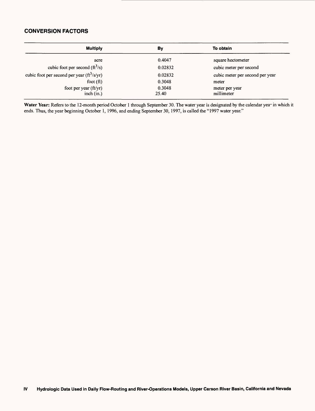### **CONVERSION FACTORS**

| <b>Multiply</b>                                | By              | To obtain                       |
|------------------------------------------------|-----------------|---------------------------------|
| acre                                           | 0.4047          | square hectometer               |
| cubic foot per second $(\text{ft}^3/\text{s})$ | 0.02832         | cubic meter per second          |
| cubic foot per second per year $(ft^3/s/yr)$   | 0.02832         | cubic meter per second per year |
| foot $(ft)$                                    | 0.3048          | meter                           |
| foot per year $(ft/yr)$<br>inch $(in.)$        | 0.3048<br>25.40 | meter per year<br>millimeter    |

Water Year: Refers to the 12-month period October 1 through September 30. The water year is designated by the calendar yea<sup>-</sup> in which it ends. Thus, the year beginning October 1, 1996, and ending September 30, 1997, is called the "1997 water year."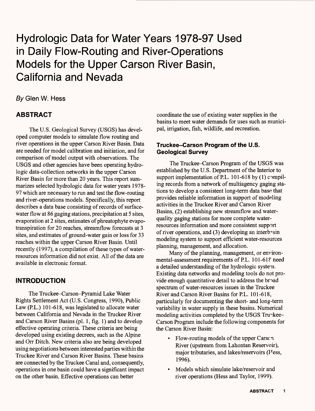## Hydrologic Data for Water Years 1978-97 Used in Daily Flow-Routing and River-Operations Models for the Upper Carson River Basin, California and Nevada

## By Glen W. Hess

## **ABSTRACT**

The U.S. Geological Survey (USGS) has developed computer models to simulate flow routing and river operations in the upper Carson River Basin. Data are needed for model calibration and initiation, and for comparison of model output with observations. The USGS and other agencies have been operating hydrologic data-collection networks in the upper Carson River Basin for more than 20 years. This report summarizes selected hydrologic data for water years 1978- 97 which are necessary to run and test the flow-routing and river-operations models. Specifically, this report describes a data base consisting of records of surfacewater flow at 86 gaging stations, precipitation at 5 sites, evaporation at 2 sites, estimates of phreatophyte evapotranspiration for 20 reaches, streamflow forecasts at 3 sites, and estimates of ground-water gain or loss for 33 reaches within the upper Carson River Basin. Until recently (1997), a compilation of these types of waterresources information did not exist. All of the data are available in electronic format.

## **INTRODUCTION**

The Truckee-Carson-Pyramid Lake Water Rights Settlement Act (U.S. Congress, 1990), Public Law (PL.) 101-618, was legislated to allocate water between California and Nevada in the Truckee River and Carson River Basins (pi. 1, fig. 1) and to develop effective operating criteria. These criteria are being developed using existing decrees, such as the Alpine and Orr Ditch. New criteria also are being developed using negotiations between interested parties within the Truckee River and Carson River Basins. These basins are connected by the Truckee Canal and, consequently, operations in one basin could have a significant impact on the other basin. Effective operations can better

coordinate the use of existing water supplies in the basins to meet water demands for uses such as municipal, irrigation, fish, wildlife, and recreation.

## **Truckee-Carson Program of the U.S. Geological Survey**

The Truckee-Carson Program of the USGS was established by the U.S. Department of the Interior to support implementation of P.L. 101-618 by  $(1)$  compiling records from a network of multiagency gaging stations to develop a consistent long-term data base that provides reliable information in support of modeling activities in the Truckee River and Carson River Basins, (2) establishing new streamflow and waterquality gaging stations for more complete waterresources information and more consistent support of river operations, and  $(3)$  developing an interbasin modeling system to support efficient water-resources planning, management, and allocation.

Many of the planning, management, or environmental-assessment requirements of P.L. 101-618 need a detailed understanding of the hydrologic system. Existing data networks and modeling tools do not provide enough quantitative detail to address the broad spectrum of water-resources issues in the Truckee River and Carson River Basins for PL. 101-618, particularly for documenting the short- and long-term variability in water supply in these basins. Numerical modeling activities completed by the USGS Truckee-Carson Program include the following components for the Carson River Basin:

- Flow-routing models of the upper Carsc n River (upstream from Lahontan Reservoir), major tributaries, and lakes/reservoirs (I<sup>T</sup>ess, 1996).
- Models which simulate lake/reservoir and river operations (Hess and Taylor, 1999).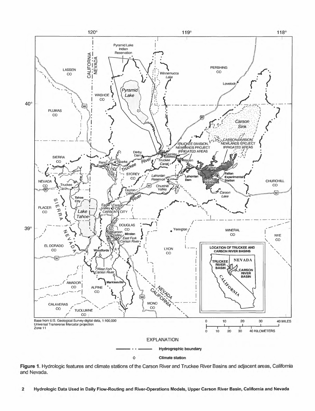

**Figure 1.** Hydrologic features and climate stations of the Carson River and Truckee River Basins and adjacent areas, California and Nevada.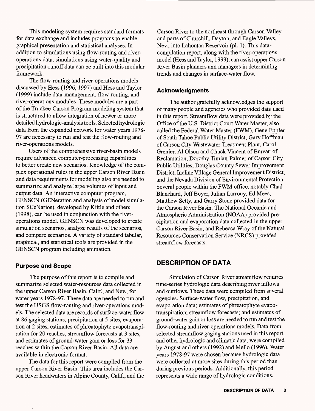This modeling system requires standard formats for data exchange and includes programs to enable graphical presentation and statistical analyses. In addition to simulations using flow-routing and riveroperations data, simulations using water-quality and precipitation-runoff data can be built into this modular framework.

The flow-routing and river-operations models discussed by Hess (1996, 1997) and Hess and Taylor (1999) include data-management, flow-routing, and river-operations modules. These modules are a part of the Truckee-Carson Program modeling system that is structured to allow integration of newer or more detailed hydrologic-analysis tools. Selected hydrologic data from the expanded network for water years 1978- 97 are necessary to run and test the flow-routing and river-operations models.

Users of the comprehensive river-basin models require advanced computer-processing capabilities to better create new scenarios. Knowledge of the complex operational rules in the upper Carson River Basin and data requirements for modeling also are needed to summarize and analyze large volumes of input and output data. An interactive computer program, GENSCN (GENeration and analysis of model simulation SCeNarios), developed by Kittle and others (1998), can be used in conjunction with the riveroperations model. GENSCN was developed to create simulation scenarios, analyze results of the scenarios, and compare scenarios. A variety of standard tabular, graphical, and statistical tools are provided in the GENSCN program including animation.

#### **Purpose and Scope**

The purpose of this report is to compile and summarize selected water-resources data collected in the upper Carson River Basin, Calif, and Nev., for water years 1978-97. These data are needed to run and test the USGS flow-routing and river-operations models. The selected data are records of surface-water flow at 86 gaging stations, precipitation at 5 sites, evaporation at 2 sites, estimates of phreatophyte evapotranspiration for 20 reaches, streamflow forecasts at 3 sites, and estimates of ground-water gain or loss for 33 reaches within the Carson River Basin. All data are available in electronic format.

The data for this report were compiled from the upper Carson River Basin. This area includes the Carson River headwaters in Alpine County, Calif., and the

Carson River to the northeast through Carson Valley and parts of Churchill, Dayton, and Eagle Valleys, Nev., into Lahontan Reservoir (pi. 1). This datacompilation report, along with the river-operations model (Hess and Taylor, 1999), can assist upper Carson River Basin planners and managers in determining trends and changes in surface-water flow.

#### **Acknowledgments**

The author gratefully acknowledges the support of many people and agencies who provided data used in this report. Streamflow data were provided by the Office of the U.S. District Court Water Master, also called the Federal Water Master (FWM), Gene Eppler of South Tahoe Public Utility District, Gary Hoffinan of Carson City Wastewater Treatment Plant, Carol Grenier, Al Olson and Chuck Vincent of Bureau of Reclamation, Dorothy Timian-Palmer of Carson City Public Utilities, Douglas County Sewer Improvement District, Incline Village General Improvement D'strict, and the Nevada Division of Environmental Protection. Several people within the FWM office, notably Chad Blanchard, Jeff Boyer, Julian Larrouy, Ed Mees, Matthew Setty, and Garry Stone provided data for the Carson River Basin. The National Oceanic and Atmospheric Administration (NOAA) provided precipitation and evaporation data collected in the upper Carson River Basin, and Rebecca Wray of the Natural Resources Conservation Service (NRCS) provided streamflow forecasts.

## **DESCRIPTION OF DATA**

Simulation of Carson River streamflow requires time-series hydrologic data describing river inflows and outflows. These data were compiled from several agencies. Surface-water flow, precipitation, and evaporation data; estimates of phreatophyte evaootranspiration; streamflow forecasts; and estimates of ground-water gain or loss are needed to run and test the flow-routing and river-operations models. Data from selected streamflow gaging stations used in this report, and other hydrologic and climatic data, were compiled by August and others (1992) and Mello (1996). Water years 1978-97 were chosen because hydrologic data were collected at more sites during this period than during previous periods. Additionally, this period represents a wide range of hydrologic conditions.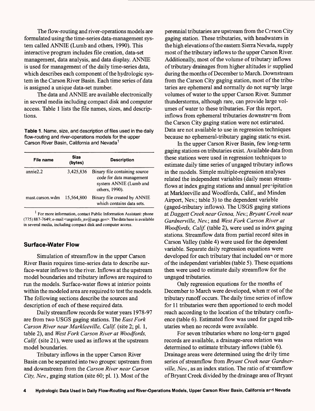The flow-routing and river-operations models are formulated using the time-series data-management system called ANNIE (Lumb and others, 1990). This interactive program includes file creation, data-set management, data analysis, and data display. ANNIE is used for management of the daily time-series data, which describes each component of the hydrologic system in the Carson River Basin. Each time series of data is assigned a unique data-set number.

The data and ANNIE are available electronically in several media including compact disk and computer access. Table 1 lists the file names, sizes, and descriptions.

**Table 1.** Name, size, and description of files used in the daily flow-routing and river-operations models for the upper Carson River Basin, California and Nevada<sup>1</sup>

| File name       | <b>Size</b><br>(bytes) | <b>Description</b>                                                                                    |
|-----------------|------------------------|-------------------------------------------------------------------------------------------------------|
| annie2.2        | 3,425,836              | Binary file containing source<br>code for data management<br>system ANNIE (Lumb and<br>others, 1990). |
| mast.carson.wdm | 15,564,800             | Binary file created by ANNIE<br>which contains data sets.                                             |

 $<sup>1</sup>$  For more information, contact Public Information Assistant: phone</sup> (775) 887-7649; e-mail <usgsinfo\_nv@usgs.gov>. The data base is available in several media, including compact disk and computer access.

## **Surface-Water Flow**

Simulation of streamflow in the upper Carson River Basin requires time-series data to describe surface-water inflows to the river. Inflows at the upstream model boundaries and tributary inflows are required to run the models. Surface-water flows at interior points within the modeled area are required to test the models. The following sections describe the sources and description of each of these required data.

Daily streamflow records for water years 1978-97 are from two USGS gaging stations. The *East Fork Carson River near Markleeville, Calif,* (site 2; pi. 1, table 2), and *West Fork Carson River at Woodfords, Calif.* (site 21), were used as inflows at the upstream model boundaries.

Tributary inflows in the upper Carson River Basin can be separated into two groups: upstream from and downstream from the *Carson River near Carson City, Nev.,* gaging station (site 60; pi. 1). Most of the

perennial tributaries are upstream from the Crrson City gaging station. These tributaries, with headwaters in the high elevations of the eastern Sierra Nevada, supply most of the tributary inflows to the upper Carson River. Additionally, most of the volume of tributary inflows of tributary drainages from higher altitudes i? supplied during the months of December to March. Downstream from the Carson City gaging station, most of the tributaries are ephemeral and normally do not supply large volumes of water to the upper Carson River. Summer thunderstorms, although rare, can provide large volumes of water to these tributaries. For this report, inflows from ephemeral tributaries downstream from the Carson City gaging station were not estimated. Data are not available to use in regression techniques because no ephemeral-tributary gaging static ns exist.

In the upper Carson River Basin, few long-term gaging stations on tributaries exist. Available data from these stations were used in regression techniques to estimate daily time series of ungaged tributary inflows in the models. Simple multiple-regression analyses related the independent variables (daily mean streamflows at index gaging stations and annual precipitation at Markleeville and Woodfords, Calif., and Minden Airport, Nev.; table 3) to the dependent variable (gaged-tributary inflows). The USGS gaging stations at *Daggett Creek near Genoa, Nev.* ; *Bryant Creek near Gardnerville, Nev.;* and *West Fork Carson River at Woodfords, Calif,* (table 2), were used as index gaging stations. Streamflow data from partial record sites in Carson Valley (table 4) were used for the dependent variable. Separate daily regression equations were developed for each tributary that included one or more of the independent variables (table 5). These equations then were used to estimate daily streamflow for the ungaged tributaries.

Only regression equations for the months of December to March were developed, when most of the tributary runoff occurs. The daily time series of inflow for 11 tributaries were then apportioned to each model reach according to the location of the tributary confluence (table 6). Estimated flow was used for gaged tributaries when no records were available.

For seven tributaries where no long-tern gaged records are available, a drainage-area relation was determined to estimate tributary inflows (table 6). Drainage areas were determined using the drily time series of streamflow from *Bryant Creek near Gardnerville, Nev.*, as an index station. The ratio of st-eamflow of Bryant Creek divided by the drainage area of Bryant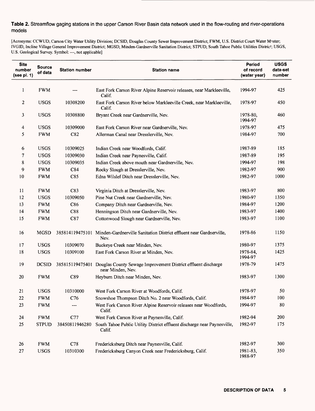### **Table 2.** Streamflow gaging stations in the upper Carson River Basin data network used in the flow-routing and river-operations models

[Acronyms: CCWUD, Carson City Water Utility Division; DCSID, Douglas County Sewer Improvement District; FWM, U.S. District Court Water Master; IVGID, Incline Village General Improvement District; MGSD, Minden-Gardnerville Sanitation District; STPUD, South Tahoe Public Utilities District; USGS, U.S. Geological Survey. Symbol: ---, not applicable]

| <b>Site</b><br>number<br>(see pl. 1) | <b>Source</b><br>of data | <b>Station number</b> | <b>Station name</b>                                                                                | Period<br>of record<br>(water year) | <b>USGS</b><br>data-set<br>number |
|--------------------------------------|--------------------------|-----------------------|----------------------------------------------------------------------------------------------------|-------------------------------------|-----------------------------------|
| 1                                    | <b>FWM</b>               |                       | East Fork Carson River Alpine Reservoir releases, near Markleeville,<br>Calif.                     | 1994-97                             | 425                               |
| 2                                    | <b>USGS</b>              | 10308200              | East Fork Carson River below Markleeville Creek, near Markleeville,<br>Calif.                      | 1978-97                             | 450                               |
| 3                                    | <b>USGS</b>              | 10308800              | Bryant Creek near Gardnerville, Nev.                                                               | 1978-80,<br>1994-97                 | 460                               |
| 4                                    | <b>USGS</b>              | 10309000              | East Fork Carson River near Gardnerville, Nev.                                                     | 1978-97                             | 475                               |
| 5                                    | <b>FWM</b>               | C82                   | Allerman Canal near Dresslerville, Nev.                                                            | 1984-97                             | 700                               |
| 6                                    | <b>USGS</b>              | 10309025              | Indian Creek near Woodfords, Calif.                                                                | 1987-89                             | 185                               |
| 7                                    | <b>USGS</b>              | 10309030              | Indian Creek near Paynesville, Calif.                                                              | 1987-89                             | 195                               |
| 8                                    | <b>USGS</b>              | 10309035              | Indian Creek above mouth near Gardnerville, Nev.                                                   | 1994-97                             | 198                               |
| 9                                    | <b>FWM</b>               | C84                   | Rocky Slough at Dresslerville, Nev.                                                                | 1982-97                             | 900                               |
| 10                                   | <b>FWM</b>               | C85                   | Edna Wilslef Ditch near Dresslerville, Nev.                                                        | 1982-97                             | 1000                              |
| 11                                   | <b>FWM</b>               | C83                   | Virginia Ditch at Dresslerville, Nev.                                                              | 1983-97                             | 800                               |
| 12                                   | <b>USGS</b>              | 10309050              | Pine Nut Creek near Gardnerville, Nev.                                                             | 1980-97                             | 1350                              |
| 13                                   | <b>FWM</b>               | C86                   | Company Ditch near Gardnerville, Nev.                                                              | 1984-97                             | 1200                              |
| 14                                   | <b>FWM</b>               | C88                   | Henningson Ditch near Gardnerville, Nev.                                                           | 1983-97                             | 1400                              |
| 15                                   | <b>FWM</b>               | C87                   | Cottonwood Slough near Gardnerville, Nev.                                                          | 1983-97                             | 1100                              |
| 16                                   | <b>MGSD</b>              | 385814119475101       | Minden-Gardnerville Sanitation District effluent near Gardnerville,<br>Nev.                        | 1978-86                             | 1150                              |
| 17                                   | <b>USGS</b>              | 10309070              | Buckeye Creek near Minden, Nev.                                                                    | 1980-97                             | 1375                              |
| 18                                   | <b>USGS</b>              | 10309100              | East Fork Carson River at Minden, Nev.                                                             | 1978-84,<br>1994-97                 | 1425                              |
| 19                                   | <b>DCSID</b>             |                       | 385815119475401 Douglas County Sewage Improvement District effluent discharge<br>near Minden, Nev. | 1978-79                             | 1475                              |
| 20                                   | <b>FWM</b>               | C89                   | Heyburn Ditch near Minden, Nev.                                                                    | 1983-97                             | 1300                              |
| 21                                   | <b>USGS</b>              | 10310000              | West Fork Carson River at Woodfords, Calif.                                                        | 1978-97                             | 50                                |
| 22                                   | <b>FWM</b>               | C <sub>76</sub>       | Snowshoe Thompson Ditch No. 2 near Woodfords, Calif.                                               | 1984-97                             | 100                               |
| 23                                   | <b>FWM</b>               |                       | West Fork Carson River Alpine Reservoir releases near Woodfords,<br>Calif.                         | 1994-97                             | 80                                |
| 24                                   | <b>FWM</b>               | C77                   | West Fork Carson River at Paynesville, Calif.                                                      | 1982-94                             | 200                               |
| 25                                   | <b>STPUD</b>             | 38450811946280        | South Tahoe Public Utility District effluent discharge near Paynesville,<br>Calif.                 | 1982-97                             | 175                               |
| 26                                   | <b>FWM</b>               | C78                   | Fredericksburg Ditch near Paynesville, Calif.                                                      | 1982-97                             | 300                               |
| 27                                   | <b>USGS</b>              | 10310300              | Fredericksburg Canyon Creek near Fredericksburg, Calif.                                            | 1981-83,<br>1988-97                 | 350                               |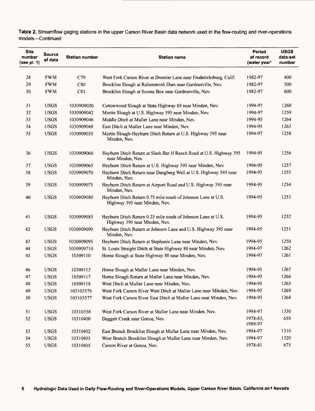| <b>Site</b><br>number<br>(see pl. 1) | <b>Source</b><br>of data | <b>Station number</b> | <b>Station name</b>                                                                           | Period<br>of record<br>(water year\ | <b>USGS</b><br>data-set<br>number |
|--------------------------------------|--------------------------|-----------------------|-----------------------------------------------------------------------------------------------|-------------------------------------|-----------------------------------|
|                                      |                          |                       |                                                                                               |                                     |                                   |
| 28                                   | <b>FWM</b>               | C79                   | West Fork Carson River at Dressler Lane near Fredericksburg, Calif.                           | 1982-97                             | 400                               |
| 29                                   | <b>FWM</b>               | C80                   | Brockliss Slough at Ruhenstroth Dam near Gardnerville, Nev.                                   | 1982-97                             | 500                               |
| 30                                   | <b>FWM</b>               | C81                   | Brockliss Slough at Scossa Box near Gardnerville, Nev.                                        | 1982-97                             | 600                               |
| 31                                   | <b>USGS</b>              | 1030909020            | Cottonwood Slough at State Highway 88 near Minden, Nev.                                       | 1994-97                             | 1260                              |
| 32                                   | <b>USGS</b>              | 1030909042            | Martin Slough at U.S. Highway 395 near Minden, Nev.                                           | 1994-97                             | 1259                              |
| 33                                   | <b>USGS</b>              | 1030909046            | Middle Ditch at Muller Lane near Minden, Nev.                                                 | 1994-95                             | 1264                              |
| 34                                   | <b>USGS</b>              | 1030909048            | East Ditch at Muller Lane near Minden, Nev.                                                   | 1994-95                             | 1263                              |
| 35                                   | <b>USGS</b>              | 1030909055            | Martin Slough-Heyburn Ditch Return at U.S. Highway 395 near<br>Minden, Nev.                   | 1994-97                             | 1258                              |
| 36                                   | <b>USGS</b>              | 1030909060            | Heyburn Ditch Return at Slash Bar H Ranch Road at U.S. Highway 395<br>near Minden, Nev.       | 1994-95                             | 1256                              |
| 37                                   | <b>USGS</b>              | 1030909065            | Heyburn Ditch Return at U.S. Highway 395 near Minden, Nev.                                    | 1994-95                             | 1257                              |
| 38                                   | <b>USGS</b>              | 1030909070            | Heyburn Ditch Return near Dangberg Well at U.S. Highway 395 near<br>Minden, Nev.              | 1994-95                             | 1255                              |
| 39                                   | <b>USGS</b>              | 1030909075            | Heyburn Ditch Return at Airport Road and U.S. Highway 395 near<br>Minden, Nev.                | 1994-95                             | 1254                              |
| 40                                   | <b>USGS</b>              | 1030909080            | Heyburn Ditch Return 0.75 mile south of Johnson Lane at U.S.<br>Highway 395 near Minden, Nev. | 1994-95                             | 1253                              |
| 41                                   | <b>USGS</b>              | 1030909085            | Heyburn Ditch Return 0.25 mile south of Johnson Lane at U.S.<br>Highway 395 near Minden, Nev. | 1994-95                             | 1252                              |
| 42                                   | <b>USGS</b>              | 1030909090            | Heyburn Ditch Return at Johnson Lane and U.S. Highway 395 near<br>Minden, Nev.                | 1994-95                             | 1251                              |
| 43                                   | <b>USGS</b>              | 1030909095            | Heyburn Ditch Return at Stephanie Lane near Minden, Nev.                                      | 1994-95                             | 1250                              |
| 44                                   | <b>USGS</b>              | 1030909710            | St. Louis Straight Ditch at State Highway 88 near Minden, Nev.                                | 1994-97                             | 1262                              |
| 45                                   | <b>USGS</b>              | 10309110              | Home Slough at State Highway 88 near Minden, Nev.                                             | 1994-97                             | 1261                              |
| 46                                   | <b>USGS</b>              | 10309113              | Home Slough at Muller Lane near Minden, Nev.                                                  | 1994-95                             | 1267                              |
| 47                                   | <b>USGS</b>              | 10309117              | Home Slough Return at Muller Lane near Minden, Nev.                                           | 1994-95                             | 1266                              |
| 48                                   | <b>USGS</b>              | 10309118              | West Ditch at Muller Lane near Minden, Nev.                                                   | 1994-95                             | 1265                              |
| 49                                   | <b>USGS</b>              | 103103576             | West Fork Carson River West Ditch at Muller Lane near Minden, Nev.                            | 1994-95                             | 1269                              |
| 50                                   | <b>USGS</b>              | 103103577             | West Fork Carson River East Ditch at Muller Lane near Minden, Nev.                            | 1994-95                             | 1268                              |
| 51                                   | <b>USGS</b>              | 10310358              | West Fork Carson River at Muller Lane near Minden, Nev.                                       | 1994-97                             | 1330                              |
| 52                                   | <b>USGS</b>              | 10310400              | Daggett Creek near Genoa, Nev.                                                                | 1978-83,<br>1989-97                 | 650                               |
| 53                                   | <b>USGS</b>              | 10310402              | East Branch Brockliss Slough at Muller Lane near Minden, Nev.                                 | 1994-97                             | 1310                              |
| 54                                   | <b>USGS</b>              | 10310403              | West Branch Brockliss Slough at Muller Lane near Minden, Nev.                                 | 1994-97                             | 1320                              |
| 55                                   | <b>USGS</b>              | 10310405              | Carson River at Genoa, Nev.                                                                   | 1978-81                             | 675                               |

**Table 2.** Streamflow gaging stations in the upper Carson River Basin data network used in the flow-routing and river-operations models-Continued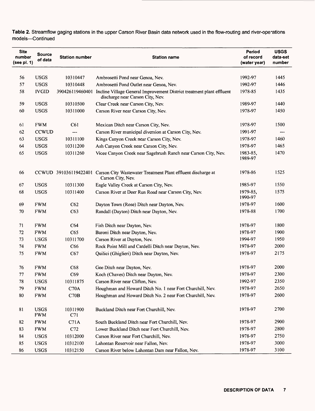| <b>Site</b><br>number<br>(see pl. 1) | <b>Source</b><br>of data  | <b>Station number</b> | <b>Station name</b>                                                                                       | Period<br>of record<br>(water year) | <b>USGS</b><br>data-set<br>number |
|--------------------------------------|---------------------------|-----------------------|-----------------------------------------------------------------------------------------------------------|-------------------------------------|-----------------------------------|
|                                      |                           |                       |                                                                                                           |                                     |                                   |
| 56                                   | <b>USGS</b>               | 10310447              | Ambrosetti Pond near Genoa, Nev.                                                                          | 1992-97                             | 1445                              |
| 57                                   | <b>USGS</b>               | 10310448              | Ambrosetti Pond Outlet near Genoa, Nev.                                                                   | 1992-97                             | 1446                              |
| 58                                   | <b>IVGID</b>              | 390426119460401       | Incline Village General Improvement District treatment plant effluent<br>discharge near Carson City, Nev. | 1978-85                             | 1435                              |
| 59                                   | <b>USGS</b>               | 10310500              | Clear Creek near Carson City, Nev.                                                                        | 1989-97                             | 1440                              |
| 60                                   | <b>USGS</b>               | 10311000              | Carson River near Carson City, Nev.                                                                       | 1978-97                             | 1450                              |
| 61                                   | <b>FWM</b>                | C61                   | Mexican Ditch near Carson City, Nev.                                                                      | 1978-97                             | 1500                              |
| 62                                   | <b>CCWUD</b>              | ---                   | Carson River municipal diversion at Carson City, Nev.                                                     | 1991-97                             | ---                               |
| 63                                   | <b>USGS</b>               | 10311100              | Kings Canyon Creek near Carson City, Nev.                                                                 | 1978-97                             | 1460                              |
| 64                                   | <b>USGS</b>               | 10311200              | Ash Canyon Creek near Carson City, Nev.                                                                   | 1978-97                             | 1465                              |
| 65                                   | <b>USGS</b>               | 10311260              | Vicee Canyon Creek near Sagebrush Ranch near Carson City, Nev.                                            | 1983-85,<br>1989-97                 | 1470                              |
| 66                                   |                           |                       | CCWUD 391036119422401 Carson City Wastewater Treatment Plant effluent discharge at<br>Carson City, Nev.   | 1978-86                             | 1525                              |
| 67                                   | <b>USGS</b>               | 10311300              | Eagle Valley Creek at Carson City, Nev.                                                                   | 1985-97                             | 1550                              |
| 68                                   | <b>USGS</b>               | 10311400              | Carson River at Deer Run Road near Carson City, Nev.                                                      | 1979-85.<br>1990-97                 | 1575                              |
| 69                                   | <b>FWM</b>                | C62                   | Dayton Town (Rose) Ditch near Dayton, Nev.                                                                | 1978-97                             | 1600                              |
| 70                                   | <b>FWM</b>                | C63                   | Randall (Dayton) Ditch near Dayton, Nev.                                                                  | 1978-88                             | 1700                              |
| 71                                   | <b>FWM</b>                | C64                   | Fish Ditch near Dayton, Nev.                                                                              | 1978-97                             | 1800                              |
| 72                                   | <b>FWM</b>                | C65                   | Baroni Ditch near Dayton, Nev.                                                                            | 1978-97                             | 1900                              |
| 73                                   | <b>USGS</b>               | 10311700              | Carson River at Dayton, Nev.                                                                              | 1994-97                             | 1950                              |
| 74                                   | <b>FWM</b>                | C66                   | Rock Point Mill and Cardelli Ditch near Dayton, Nev.                                                      | 1978-97                             | 2000                              |
| 75                                   | <b>FWM</b>                | C67                   | Quilici (Ghiglieri) Ditch near Dayton, Nev.                                                               | 1978-97                             | 2175                              |
| 76                                   | <b>FWM</b>                | C68                   | Gee Ditch near Dayton, Nev.                                                                               | 1978-97                             | 2000                              |
| 77                                   | <b>FWM</b>                | C69                   | Koch (Chaves) Ditch near Dayton, Nev.                                                                     | 1978-97                             | 2300                              |
| 78                                   | <b>USGS</b>               | 10311875              | Carson River near Clifton, Nev.                                                                           | 1992-97                             | 2350                              |
| 79                                   | <b>FWM</b>                | C70A                  | Houghman and Howard Ditch No. 1 near Fort Churchill, Nev.                                                 | 1978-97                             | 2650                              |
| 80                                   | <b>FWM</b>                | C70B                  | Houghman and Howard Ditch No. 2 near Fort Churchill, Nev.                                                 | 1978-97                             | 2600                              |
| 81                                   | <b>USGS</b><br><b>FWM</b> | 10311900<br>C71       | Buckland Ditch near Fort Churchill, Nev.                                                                  | 1978-97                             | 2700                              |
| 82                                   | <b>FWM</b>                | C71A                  | South Buckland Ditch near Fort Churchill, Nev.                                                            | 1978-97                             | 2900                              |
| 83                                   | <b>FWM</b>                | C72                   | Lower Buckland Ditch near Fort Churchill, Nev.                                                            | 1978-97                             | 2800                              |
| 84                                   | <b>USGS</b>               | 10312000              | Carson River near Fort Churchill, Nev.                                                                    | 1978-97                             | 2750                              |
| 85                                   | <b>USGS</b>               | 10312100              | Lahontan Reservoir near Fallon, Nev.                                                                      | 1978-97                             | 3000                              |
| 86                                   | <b>USGS</b>               | 10312150              | Carson River below Lahontan Dam near Fallon, Nev.                                                         | 1978-97                             | 3100                              |

Table 2. Streamflow gaging stations in the upper Carson River Basin data network used in the flow-routing and river-ope-ations models-Continued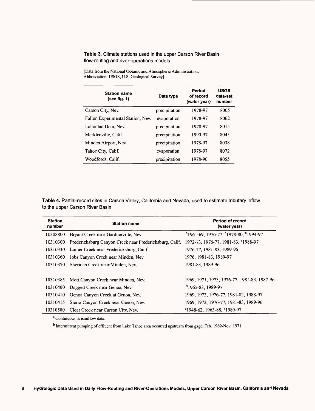#### **Table 3.** Climate stations used in the upper Carson River Basin flow-routing and river-operations models

| <b>Station name</b><br>(see fig. 1) | Data type     | Period<br>of record<br>(water year) | <b>USGS</b><br>data-set<br>number |
|-------------------------------------|---------------|-------------------------------------|-----------------------------------|
| Carson City, Nev.                   | precipitation | 1978-97                             | 8005                              |
| Fallon Experimental Station, Nev.   | evaporation   | 1978-97                             | 8062                              |
| Lahontan Dam, Nev.                  | precipitation | 1978-97                             | 8015                              |
| Markleeville, Calif.                | precipitation | 1990-97                             | 8045                              |
| Minden Airport, Nev.                | precipitation | 1978-97                             | 8038                              |
| Tahoe City, Calif.                  | evaporation   | 1978-97                             | 8072                              |
| Woodfords, Calif.                   | precipitation | 1978-90                             | 8055                              |

[Data from the National Oceanic and Atmospheric Administration. Abbreviation: USGS, U.S. Geological Survey]

**Table 4.** Partial-record sites in Carson Valley, California and Nevada, used to estimate tributary inflow to the upper Carson River Basin

| <b>Station</b><br>number | <b>Station name</b>                                     | Period of record<br>(water year)                                          |
|--------------------------|---------------------------------------------------------|---------------------------------------------------------------------------|
| 10308800                 | Bryant Creek near Gardnerville, Nev.                    | <sup>a</sup> 1961-69, 1976-77, <sup>a</sup> 1978-80, <sup>a</sup> 1994-97 |
| 10310300                 | Fredericksburg Canyon Creek near Fredericksburg, Calif. | 1972-73, 1976-77, 1981-83, <sup>8</sup> 1988-97                           |
| 10310330                 | Luther Creek near Fredericksburg, Calif.                | 1976-77, 1981-83, 1989-96                                                 |
| 10310360                 | Jobs Canvon Creek near Minden, Nev.                     | 1976, 1981-83, 1989-97                                                    |
| 10310370                 | Sheridan Creek near Minden, Nev.                        | 1981-83, 1989-96                                                          |
|                          |                                                         |                                                                           |
| 10310385                 | Mott Canyon Creek near Minden, Nev.                     | 1969, 1971, 1973, 1976-77, 1981-83, 1987-96                               |
| 10310400                 | Daggett Creek near Genoa, Nev.                          | <sup>b</sup> 1965-83, 1989-97                                             |
| 10310410                 | Genoa Canyon Creek at Genoa, Nev.                       | 1969, 1972, 1976-77, 1981-82, 1988-97                                     |
| 10310415                 | Sierra Canyon Creek near Genoa, Nev.                    | 1969, 1972, 1976-77, 1981-83, 1989-96                                     |
| 10310500                 | Clear Creek near Carson City, Nev.                      | <sup>a</sup> 1948-62, 1963-88, <sup>a</sup> 1989-97                       |

a Continuous streamflow data.

b Intermittent pumping of effluent from Lake Tahoe area occurred upstream from gage, Feb. 1969-Nov. 1971.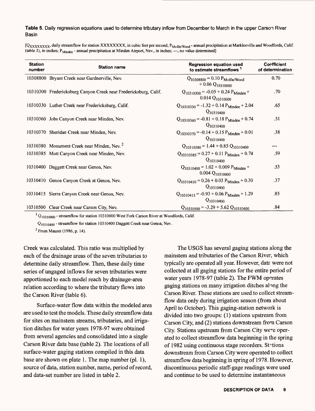#### **Table 5.** Daily regression equations used to determine tributary inflow from December to March in the upper Carson River Basin

[Q<sub>XXXXXXX</sub>, daily streamflow for station XXXXXXXX, in cubic feet per second; P<sub>Mville/Wood</sub> - annual precipitation at Markleeville and Woodfords, Calif.<br>(table 3), in inches; P<sub>Minden</sub> - annual precipitation at Minden Air

| <b>Station</b><br>number | <b>Station name</b>                                              | <b>Regression equation used</b><br>to estimate streamflows <sup>1</sup>          | <b>Confficient</b><br>of determination |
|--------------------------|------------------------------------------------------------------|----------------------------------------------------------------------------------|----------------------------------------|
|                          | 10308800 Bryant Creek near Gardnerville, Nev.                    | $Q_{10308800} = 0.10 P_{Mville/Wood}$<br>$+0.06 Q_{10310000}$                    | 0.70                                   |
|                          | 10310300 Fredericksburg Canyon Creek near Fredericksburg, Calif. | $Q_{10310300} = -0.05 + 0.24 P_{\text{Minden}} +$<br>$0.014 Q_{10310000}$        | $.70\,$                                |
|                          | 10310330 Luther Creek near Fredericksburg, Calif.                | $Q_{10310330} = -1.32 + 0.14 P_{\text{Minden}} + 2.04$<br>$Q_{10310400}$         | .65                                    |
|                          | 10310360 Jobs Canyon Creek near Minden, Nev.                     | $Q_{10310360} = -0.81 + 0.18 P_{\text{Minden}} + 0.74$<br>$Q_{10310400}$         | .51                                    |
|                          | 10310370 Sheridan Creek near Minden, Nev.                        | $Q_{10310370} = -0.14 + 0.15 P_{\text{Minden}} + 0.01$<br>$Q_{10310400}$         | .38                                    |
|                          | 10310380 Monument Creek near Minden, Nev. <sup>2</sup>           | $Q_{10310380} = 1.44 + 0.85 Q_{10310400}$                                        | ---                                    |
|                          | 10310385 Mott Canyon Creek near Minden, Nev.                     | $Q_{10310385} = 0.27 + 0.11 P_{\text{Minden}} + 0.74$<br>$Q_{10310400}$          | .59                                    |
|                          | 10310400 Daggett Creek near Genoa, Nev.                          | $Q_{10310400} = 1.02 + 0.009 P_{\text{Minden}} +$<br>$0.004 Q_{10310000}$        | .53                                    |
|                          | 10310410 Genoa Canyon Creek at Genoa, Nev.                       | $Q_{10310410} = 0.26 + 0.03$ P <sub>Minden</sub> + 0.30<br>Q <sub>10310400</sub> | .37                                    |
|                          | 10310415 Sierra Canyon Creek near Genoa, Nev.                    | $Q_{10310415} = -0.93 + 0.06 P_{\text{Minden}} + 1.29$<br>$Q_{10310400}$         | .85                                    |
|                          | 10310500 Clear Creek near Carson City, Nev.                      | $Q_{10310500} = -3.29 + 5.62 Q_{10310400}$                                       | .84                                    |

 $^{1}$  Q<sub>10310000</sub> - streamflow for station 10310000 West Fork Carson River at Woodfords, Calif.

Q<sub>10310400</sub> - streamflow for station 10310400 Daggett Creek near Genoa, Nev.

 $2$  From Maurer (1986, p. 14).

Creek was calculated. This ratio was multiplied by each of the drainage areas of the seven tributaries to determine daily streamflow. Then, these daily time series of ungaged inflows for seven tributaries were apportioned to each model reach by drainage-area relation according to where the tributary flows into the Carson River (table 6).

Surface-water flow data within the modeled area are used to test the models. These daily streamflow data for sites on mainstem streams, tributaries, and irrigation ditches for water years 1978-97 were obtained from several agencies and consolidated into a single Carson River data base (table 2). The locations of all surface-water gaging stations compiled in this data base are shown on plate 1. The map number (pi. 1), source of data, station number, name, period of record, and data-set number are listed in table 2.

The USGS has several gaging stations along the mainstem and tributaries of the Carson River, which typically are operated all year. However, data were not collected at all gaging stations for the entire period of water years 1978-97 (table 2). The FWM operates gaging stations on many irrigation ditches along the Carson River. These stations are used to collect streamflow data only during irrigation season (from about April to October). This gaging-station network is divided into two groups: (1) stations upstream from Carson City, and (2) stations downstream from Carson City. Stations upstream from Carson City were operated to collect streamflow data beginning in the spring of 1982 using continuous stage recorders. Stitions downstream from Carson City were operated to collect streamflow data beginning in spring of 1978. However, discontinuous periodic staff-gage readings were used and continue to be used to determine instantaneous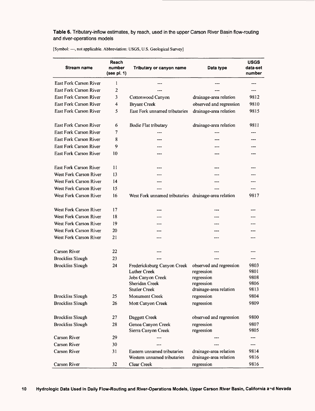#### **Table 6.** Tributary-inflow estimates, by reach, used in the upper Carson River Basin flow-routing and river-operations models

| <b>Stream name</b>            | Reach<br>number<br>(see pl. $1)$ | Tributary or canyon name                                   | Data type                                        | <b>USGS</b><br>data-set<br>number |
|-------------------------------|----------------------------------|------------------------------------------------------------|--------------------------------------------------|-----------------------------------|
| <b>East Fork Carson River</b> | 1                                |                                                            |                                                  | ---                               |
| <b>East Fork Carson River</b> | 2                                |                                                            |                                                  |                                   |
| <b>East Fork Carson River</b> | 3                                | Cottonwood Canyon                                          | drainage-area relation                           | 9812                              |
| <b>East Fork Carson River</b> | 4                                | <b>Bryant Creek</b>                                        | observed and regression                          | 9810                              |
| <b>East Fork Carson River</b> | 5                                | East Fork unnamed tributaries                              | drainage-area relation                           | 9815                              |
| East Fork Carson River        | 6                                | Bodie Flat tributary                                       | drainage-area relation                           | 9811                              |
| <b>East Fork Carson River</b> | 7                                |                                                            |                                                  |                                   |
| <b>East Fork Carson River</b> | 8                                |                                                            |                                                  |                                   |
| <b>East Fork Carson River</b> | 9                                | ---                                                        |                                                  |                                   |
| <b>East Fork Carson River</b> | 10                               | ---                                                        | ---                                              |                                   |
| East Fork Carson River        | 11                               | ---                                                        | ---                                              |                                   |
| <b>West Fork Carson River</b> | 13                               |                                                            |                                                  |                                   |
| West Fork Carson River        | $\overline{14}$                  |                                                            | ---                                              |                                   |
| West Fork Carson River        | 15                               |                                                            |                                                  |                                   |
| West Fork Carson River        | 16                               | West Fork unnamed tributaries drainage-area relation       |                                                  | 9817                              |
| West Fork Carson River        | 17                               |                                                            |                                                  |                                   |
| West Fork Carson River        | 18                               |                                                            |                                                  |                                   |
| West Fork Carson River        | 19                               |                                                            |                                                  |                                   |
| West Fork Carson River        | 20                               |                                                            |                                                  |                                   |
| West Fork Carson River        | 21                               |                                                            | ---                                              | ---                               |
| Carson River                  | 22                               |                                                            |                                                  |                                   |
| <b>Brockliss Slough</b>       | 23                               |                                                            |                                                  | $---$                             |
| <b>Brockliss Slough</b>       | 24                               | Fredericksburg Canyon Creek                                | observed and regression                          | 9803                              |
|                               |                                  | Luther Creek                                               | regression                                       | 9801                              |
|                               |                                  | Jobs Canyon Creek<br>Sheridan Creek                        | regression                                       | 9808<br>9806                      |
|                               |                                  | <b>Stutler Creek</b>                                       | regression<br>drainage-area relation             | 9813                              |
| <b>Brockliss Slough</b>       | 25                               | Monument Creek                                             | regression                                       | 9804                              |
| <b>Brockliss Slough</b>       | 26                               | Mott Canyon Creek                                          | regression                                       | 9809                              |
|                               |                                  |                                                            |                                                  |                                   |
| <b>Brockliss Slough</b>       | 27                               | Daggett Creek                                              | observed and regression                          | 9800                              |
| <b>Brockliss Slough</b>       | 28                               | Genoa Canyon Creek<br>Sierra Canyon Creek                  | regression<br>regression                         | 9807<br>9805                      |
| Carson River                  | 29                               |                                                            |                                                  | $\overline{a}$                    |
| Carson River                  | 30                               |                                                            |                                                  | $---$                             |
| Carson River                  | 31                               | Eastern unnamed tributaries<br>Western unnamed tributaries | drainage-area relation<br>drainage-area relation | 9814<br>9816                      |
| Carson River                  | 32                               | Clear Creek                                                | regression                                       | 9816                              |

[Symbol: ---, not applicable. Abbreviation: USGS, U.S. Geological Survey]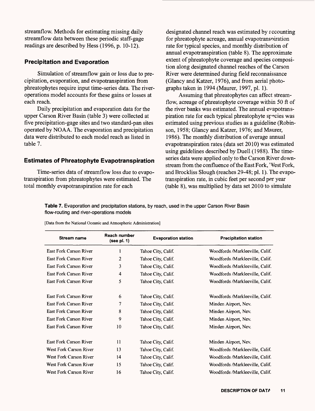streamflow. Methods for estimating missing daily streamflow data between these periodic staff-gage readings are described by Hess (1996, p. 10-12).

#### **Precipitation and Evaporation**

Simulation of streamflow gain or loss due to precipitation, evaporation, and evapotranspiration from phreatophytes require input time-series data. The riveroperations model accounts for these gains or losses at each reach.

Daily precipitation and evaporation data for the upper Carson River Basin (table 3) were collected at five precipitation-gage sites and two standard-pan sites operated by NOAA. The evaporation and precipitation data were distributed to each model reach as listed in table 7.

#### **Estimates of Phreatophyte Evapotranspiration**

Time-series data of streamflow loss due to evapotranspiration from phreatophytes were estimated. The total monthly evapotranspiration rate for each

designated channel reach was estimated by eccounting for phreatophyte acreage, annual evapotransniration rate for typical species, and monthly distribution of annual evapotranspiration (table 8). The approximate extent of phreatophyte coverage and species composition along designated channel reaches of the Carson River were determined during field reconnaissance (Glancy and Katzer, 1976), and from aerial photographs taken in 1994 (Maurer, 1997, pi. 1).

Assuming that phreatophytes can affect streamflow, acreage of phreatophyte coverage within 50 ft of the river banks was estimated. The annual evapotranspiration rate for each typical phreatophyte species was estimated using previous studies as a guideline (Robinson, 1958; Glancy and Katzer, 1976; and Maurer, 1986). The monthly distribution of average annual evapotranspiration rates (data set 2010) was estimated using guidelines described by Duell (1988). The timeseries data were applied only to the Carson River downstream from the confluence of the East Fork, 'Vest Fork, and Brockliss Slough (reaches 29-48; pl. 1). The evapotranspiration rate, in cubic feet per second per year (table 8), was multiplied by data set 2010 to simulate

**Table 7.** Evaporation and precipitation stations, by reach, used in the upper Carson River Basin flow-routing and river-operations models

| <b>Stream name</b>     | Reach number<br>(see pl. 1) | <b>Evaporation station</b> | <b>Precipitation station</b>    |
|------------------------|-----------------------------|----------------------------|---------------------------------|
| East Fork Carson River | 1                           | Tahoe City, Calif.         | Woodfords /Markleeville, Calif. |
| East Fork Carson River | 2                           | Tahoe City, Calif.         | Woodfords/Markleeville, Calif.  |
| East Fork Carson River | 3                           | Tahoe City, Calif.         | Woodfords/Markleeville, Calif.  |
| East Fork Carson River | 4                           | Tahoe City, Calif.         | Woodfords/Markleeville, Calif.  |
| East Fork Carson River | 5                           | Tahoe City, Calif.         | Woodfords/Markleeville, Calif.  |
| East Fork Carson River | 6                           | Tahoe City, Calif.         | Woodfords/Markleeville, Calif.  |
| East Fork Carson River | $\overline{7}$              | Tahoe City, Calif.         | Minden Airport, Nev.            |
| East Fork Carson River | 8                           | Tahoe City, Calif.         | Minden Airport, Nev.            |
| East Fork Carson River | 9                           | Tahoe City, Calif.         | Minden Airport, Nev.            |
| East Fork Carson River | 10                          | Tahoe City, Calif.         | Minden Airport, Nev.            |
| East Fork Carson River | $_{\rm 11}$                 | Tahoe City, Calif.         | Minden Airport, Nev.            |
| West Fork Carson River | 13                          | Tahoe City, Calif.         | Woodfords /Markleeville, Calif. |
| West Fork Carson River | 14                          | Tahoe City, Calif.         | Woodfords/Markleeville, Calif.  |
| West Fork Carson River | 15                          | Tahoe City, Calif.         | Woodfords/Markleeville, Calif.  |
| West Fork Carson River | 16                          | Tahoe City, Calif.         | Woodfords /Markleeville, Calif. |

[Data from the National Oceanic and Atmospheric Administration]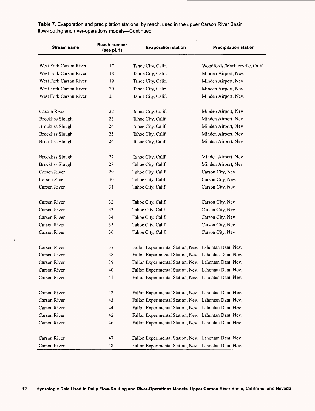| <b>Stream name</b>      | Reach number<br>(see pl. 1) | <b>Evaporation station</b>                           | <b>Precipitation station</b>   |  |
|-------------------------|-----------------------------|------------------------------------------------------|--------------------------------|--|
| West Fork Carson River  | 17                          | Tahoe City, Calif.                                   | Woodfords/Markleeville, Calif. |  |
| West Fork Carson River  | 18                          | Tahoe City, Calif.                                   | Minden Airport, Nev.           |  |
| West Fork Carson River  | 19                          | Tahoe City, Calif.                                   | Minden Airport, Nev.           |  |
| West Fork Carson River  | 20                          | Tahoe City, Calif.                                   | Minden Airport, Nev.           |  |
| West Fork Carson River  | 21                          | Tahoe City, Calif.                                   | Minden Airport, Nev.           |  |
| Carson River            | 22                          | Tahoe City, Calif.                                   | Minden Airport, Nev.           |  |
| <b>Brockliss Slough</b> | 23                          | Tahoe City, Calif.                                   | Minden Airport, Nev.           |  |
| <b>Brockliss Slough</b> | 24                          | Tahoe City, Calif.                                   | Minden Airport, Nev.           |  |
| <b>Brockliss Slough</b> | 25                          | Tahoe City, Calif.                                   | Minden Airport, Nev.           |  |
| <b>Brockliss Slough</b> | 26                          | Tahoe City, Calif.                                   | Minden Airport, Nev.           |  |
| <b>Brockliss Slough</b> | 27                          | Tahoe City, Calif.                                   | Minden Airport, Nev.           |  |
| <b>Brockliss Slough</b> | 28                          | Tahoe City, Calif.                                   | Minden Airport, Nev.           |  |
| Carson River            | 29                          | Tahoe City, Calif.                                   | Carson City, Nev.              |  |
| Carson River            | 30                          | Tahoe City, Calif.                                   | Carson City, Nev.              |  |
| Carson River            | 31                          | Tahoe City, Calif.                                   | Carson City, Nev.              |  |
| Carson River            | 32                          | Tahoe City, Calif.                                   | Carson City, Nev.              |  |
| Carson River            | 33                          | Tahoe City, Calif.                                   | Carson City, Nev.              |  |
| Carson River            | 34                          | Tahoe City, Calif.                                   | Carson City, Nev.              |  |
| Carson River            | 35                          | Tahoe City, Calif.                                   | Carson City, Nev.              |  |
| Carson River            | 36                          | Tahoe City, Calif.                                   | Carson City, Nev.              |  |
| Carson River            | 37                          | Fallon Experimental Station, Nev. Lahontan Dam, Nev. |                                |  |
| Carson River            | 38                          | Fallon Experimental Station, Nev. Lahontan Dam, Nev. |                                |  |
| Carson River            | 39                          | Fallon Experimental Station, Nev. Lahontan Dam, Nev. |                                |  |
| Carson River            | 40                          | Fallon Experimental Station, Nev. Lahontan Dam, Nev. |                                |  |
| Carson River            | 41                          | Fallon Experimental Station, Nev. Lahontan Dam, Nev. |                                |  |
| Carson River            | 42                          | Fallon Experimental Station, Nev. Lahontan Dam, Nev. |                                |  |
| Carson River            | 43                          | Fallon Experimental Station, Nev. Lahontan Dam, Nev. |                                |  |
| Carson River            | 44                          | Fallon Experimental Station, Nev. Lahontan Dam, Nev. |                                |  |
| Carson River            | 45                          | Fallon Experimental Station, Nev. Lahontan Dam, Nev. |                                |  |
| Carson River            | 46                          | Fallon Experimental Station, Nev. Lahontan Dam, Nev. |                                |  |
| Carson River            | 47                          | Fallon Experimental Station, Nev. Lahontan Dam, Nev. |                                |  |
| Carson River            | 48                          | Fallon Experimental Station, Nev. Lahontan Dam, Nev. |                                |  |

 $\hat{\mathbf{v}}$ 

Table 7. Evaporation and precipitation stations, by reach, used in the upper Carson River Basin flow-routing and river-operations models-Continued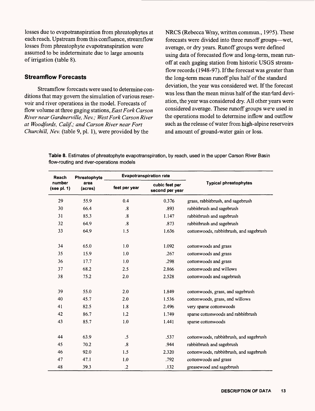losses due to evapotranspiration from phreatophytes at each reach. Upstream from this confluence, streamflow losses from phreatophyte evapotranspiration were assumed to be indeterminate due to large amounts of irrigation (table 8).

### **Streamflow Forecasts**

Streamflow forecasts were used to determine conditions that may govern the simulation of various reservoir and river operations in the model. Forecasts of flow volume at three gaging stations, *East Fork Carson River near Gardnerville, Nev.; West Fork Carson River at Woodfords, Calif.; and Carson River near Fort Churchill, Nev.* (table 9, pi. 1), were provided by the

NRCS (Rebecca Wray, written commun., 1995). These forecasts were divided into three runoff groups—wet, average, or dry years. Runoff groups were defined using data of forecasted flow and long-term, mean runoff at each gaging station from historic USGS streamflow records (1948-97). If the forecast was greater than the long-term mean runoff plus half of the standard deviation, the year was considered wet. If the forecast was less than the mean minus half of the standard deviation, the year was considered dry. All other years were considered average. These runoff groups were used in the operations model to determine inflow and outflow such as the release of water from high-alpine reservoirs and amount of ground-water gain or loss.

**Table 8.** Estimates of phreatophyte evapotranspiration, by reach, used in the upper Carson River Basin flow-routing and river-operations models

| Reach                 | Phreatophyte    |                         | <b>Evapotranspiration rate</b>    |                                         |
|-----------------------|-----------------|-------------------------|-----------------------------------|-----------------------------------------|
| number<br>(see pl. 1) | area<br>(acres) | feet per year           | cubic feet per<br>second per year | <b>Typical phreatophytes</b>            |
| 29                    | 55.9            | 0.4                     | 0.376                             | grass, rabbitbrush, and sagebrush       |
| 30                    | 66.4            | $\cdot$                 | .893                              | rabbitbrush and sagebrush               |
| 31                    | 85.3            | $\overline{\mathbf{8}}$ | 1.147                             | rabbitbrush and sagebrush               |
| 32                    | 64.9            | $\boldsymbol{.8}$       | .873                              | rabbitbrush and sagebrush               |
| 33                    | 64.9            | 1.5                     | 1.636                             | cottonwoods, rabbitbrush, and sagebrush |
| 34                    | 65.0            | 1.0                     | 1.092                             | cottonwoods and grass                   |
| 35                    | 15.9            | 1.0                     | .267                              | cottonwoods and grass                   |
| 36                    | 17.7            | 1.0                     | .298                              | cottonwoods and grass                   |
| 37                    | 68.2            | 2.5                     | 2.866                             | cottonwoods and willows                 |
| 38                    | 75.2            | 2.0                     | 2.528                             | cottonwoods and sagebrush               |
| 39                    | 55.0            | 2.0                     | 1.849                             | cottonwoods, grass, and sagebrush       |
| 40                    | 45.7            | 2.0                     | 1.536                             | cottonwoods, grass, and willows         |
| 41                    | 82.5            | 1.8                     | 2.496                             | very sparse cottonwoods                 |
| 42                    | 86.7            | 1.2                     | 1.749                             | sparse cottonwoods and rabbitbrush      |
| 43                    | 85.7            | 1.0                     | 1.441                             | sparse cottonwoods                      |
| 44                    | 63.9            | .5                      | .537                              | cottonwoods, rabbitbrush, and sagebrush |
| 45                    | 70.2            | $\boldsymbol{.8}$       | .944                              | rabbitbrush and sagebrush               |
| 46                    | 92.0            | 1.5                     | 2.320                             | cottonwoods, rabbitbrush, and sagebrush |
| 47                    | 47.1            | 1.0                     | .792                              | cottonwoods and grass                   |
| 48                    | 39.3            | $\cdot$                 | .132                              | greasewood and sagebrush                |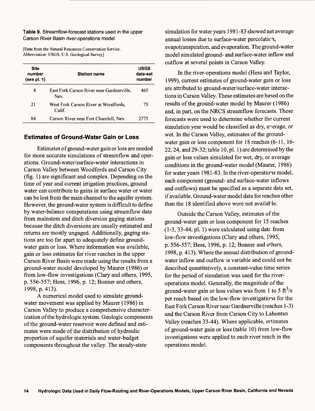#### **Table 9.** Streamflow-forecast stations used in the upper Carson River Basin river-operations model

[Data from the Natural Resources Conservation Service. Abbreviation: USGS, U.S. Geological Survey]

| <b>Site</b><br>number<br>(see pl. 1) | <b>Station name</b>                               | <b>USGS</b><br>data-set<br>number |
|--------------------------------------|---------------------------------------------------|-----------------------------------|
| 4                                    | East Fork Carson River near Gardnerville,<br>Nev. | 465                               |
| 21                                   | West Fork Carson River at Woodfords,<br>Calif.    | - 75                              |
| 84                                   | Carson River near Fort Churchill, Nev.            | 2775                              |

### **Estimates of Ground-Water Gain or Loss**

Estimates of ground-water gain or loss are needed for more accurate simulations of streamflow and operations. Ground-water/surface-water interactions in Carson Valley between Woodfords and Carson City (fig. 1) are significant and complex. Depending on the time of year and current irrigation practices, ground water can contribute to gains in surface water or water can be lost from the main channel to the aquifer system. However, the ground-water system is difficult to define by water-balance computations using streamflow data from mainstem and ditch diversion gaging stations because the ditch diversions are usually estimated and returns are mostly ungaged. Additionally, gaging stations are too far apart to adequately define groundwater gain or loss. Where information was available, gain or loss estimates for river reaches in the upper Carson River Basin were made using the results from a ground-water model developed by Maurer (1986) or from low-flow investigations (Clary and others, 1995, p. 556-557; Hess, 1996, p. 12; Bonner and others, 1998, p. 413).

A numerical model used to simulate groundwater movement was applied by Maurer (1986) in Carson Valley to produce a comprehensive characterization of the hydrologic system. Geologic components of the ground-water reservoir were defined and estimates were made of the distribution of hydraulic properties of aquifer materials and water-budget components throughout the valley. The steady-state

simulation for water years 1981 -83 showed net average annual losses due to surface-water percolation, evapotranspiration, and evaporation. The ground-water model simulated ground- and surface-water inflow and outflow at several points in Carson Valley.

In the river-operations model (Hess and Taylor, 1999), current estimates of ground-water gain or loss are attributed to ground-water/surface-water interactions in Carson Valley. These estimates are based on the results of the ground-water model by Maurer (1986) and, in part, on the NRCS streamflow forecasts. These forecasts were used to determine whether the current simulation year would be classified as dry, average, or wet. In the Carson Valley, estimates of the groundwater gain or loss component for 18 reaches (6-11, 16- 22,24, and 29-32; table 10, pi. 1) are determined by the gain or loss values simulated for wet, dry, or average conditions in the ground-water model (Maurer, 1986) for water years 1981 -83. In the river-operations model, each component (ground- and surface-water inflows and outflows) must be specified as a separate data set, if available. Ground-water model data for reaches other than the 18 identified above were not available.

Outside the Carson Valley, estimates of the ground-water gain or loss component for 15 reaches (1-3, 33-44; pi. 1) were calculated using date from low-flow investigations (Clary and others, 1995, p. 556-557; Hess, 1996, p. 12; Bonner and others, 1998, p. 413). Where the annual distribution of groundwater inflow and outflow is variable and could not be described quantitatively, a constant-value time series for the period of simulation was used for the riveroperations model. Generally, the magnitude of the ground-water gain or loss values was from 1 to 5  $\text{ft}^3/\text{s}$ per reach based on the low-flow investigations for the East Fork Carson River near Gardnerville (reaches 1 -3) and the Carson River from Carson City to Lahontan Valley (reaches 33-44). Where applicable, estimates of ground-water gain or loss (table 10) from low-flow investigations were applied to each river reach in the operations model.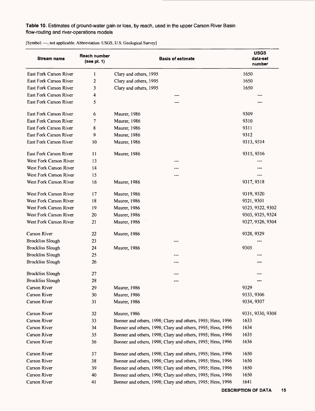## Table 10. Estimates of ground-water gain or loss, by reach, used in the upper Carson River Basin flow-routing and river-operations models

| <b>Stream name</b>      | Reach number<br>(see pl. 1) | <b>Basis of estimate</b>                                    | <b>USGS</b><br>data-set<br>number |
|-------------------------|-----------------------------|-------------------------------------------------------------|-----------------------------------|
| East Fork Carson River  | 1                           | Clary and others, 1995                                      | 1650                              |
| East Fork Carson River  | $\boldsymbol{2}$            | Clary and others, 1995                                      | 1650                              |
| East Fork Carson River  | 3                           | Clary and others, 1995                                      | 1650                              |
| East Fork Carson River  | 4                           |                                                             |                                   |
| East Fork Carson River  | 5                           |                                                             |                                   |
| East Fork Carson River  | 6                           | Maurer, 1986                                                | 9309                              |
| East Fork Carson River  | 7                           | Maurer, 1986                                                | 9310                              |
| East Fork Carson River  | 8                           | Maurer, 1986                                                | 9311                              |
| East Fork Carson River  | 9                           | Maurer, 1986                                                | 9312                              |
| East Fork Carson River  | 10                          | Maurer, 1986                                                | 9313, 9314                        |
| East Fork Carson River  | 11                          | Maurer, 1986                                                | 9315, 9316                        |
| West Fork Carson River  | 13                          |                                                             |                                   |
| West Fork Carson River  | 14                          |                                                             |                                   |
| West Fork Carson River  | 15                          |                                                             |                                   |
| West Fork Carson River  | 16                          | Maurer, 1986                                                | 9317, 9318                        |
| West Fork Carson River  | 17                          | Maurer, 1986                                                | 9319, 9320                        |
| West Fork Carson River  | 18                          | Maurer, 1986                                                | 9321, 9301                        |
| West Fork Carson River  | 19                          | Maurer, 1986                                                | 9323, 9322, 9302                  |
| West Fork Carson River  | 20                          | Maurer, 1986                                                | 9303, 9325, 9324                  |
| West Fork Carson River  | 21                          | Maurer, 1986                                                | 9327, 9326, 9304                  |
| Carson River            | 22                          | Maurer, 1986                                                | 9328, 9329                        |
| <b>Brockliss Slough</b> | 23                          |                                                             |                                   |
| <b>Brockliss Slough</b> | 24                          | <b>Maurer</b> , 1986                                        | 9305                              |
| <b>Brockliss Slough</b> | 25                          | ---                                                         |                                   |
| <b>Brockliss Slough</b> | 26                          |                                                             |                                   |
| <b>Brockliss Slough</b> | 27                          |                                                             |                                   |
| <b>Brockliss Slough</b> | 28                          |                                                             |                                   |
| Carson River            | 29                          | Maurer, 1986                                                | 9329                              |
| Carson River            | 30                          | Maurer, 1986                                                | 9333, 9306                        |
| Carson River            | 31                          | <b>Maurer</b> , 1986                                        | 9334, 9307                        |
| Carson River            | 32                          | Maurer, 1986                                                | 9331, 9330, 9308                  |
| Carson River            | 33                          | Bonner and others, 1998; Clary and others, 1995; Hess, 1996 | 1633                              |
| Carson River            | 34                          | Bonner and others, 1998; Clary and others, 1995; Hess, 1996 | 1634                              |
| Carson River            | 35                          | Bonner and others, 1998; Clary and others, 1995; Hess, 1996 | 1635                              |
| Carson River            | 36                          | Bonner and others, 1998; Clary and others, 1995; Hess, 1996 | 1636                              |
| Carson River            | 37                          | Bonner and others, 1998; Clary and others, 1995; Hess, 1996 | 1650                              |
| Carson River            | 38                          | Bonner and others, 1998; Clary and others, 1995; Hess, 1996 | 1650                              |
| Carson River            | 39                          | Bonner and others, 1998; Clary and others, 1995; Hess, 1996 | 1650                              |
| Carson River            | 40                          | Bonner and others, 1998; Clary and others, 1995; Hess, 1996 | 1650                              |
| Carson River            | 41                          | Bonner and others, 1998; Clary and others, 1995; Hess, 1996 | 1641                              |

[Symbol: ---, not applicable. Abbreviation: USGS, U.S. Geological Survey]